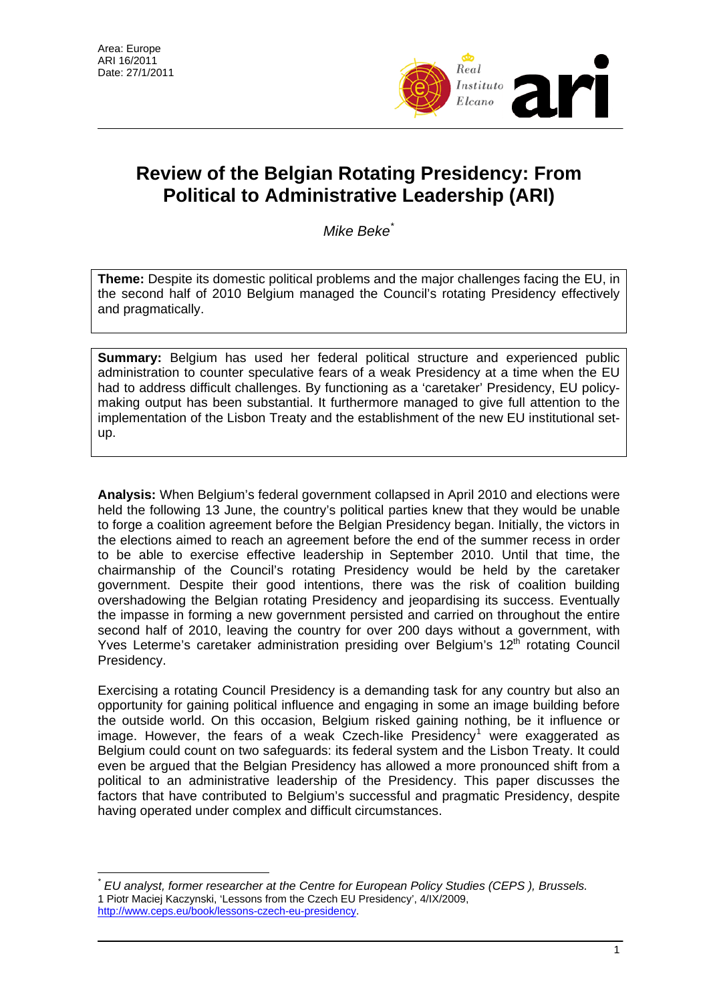$\overline{a}$ 



# **Review of the Belgian Rotating Presidency: From Political to Administrative Leadership (ARI)**

*Mike Beke*[\\*](#page-0-0)

**Theme:** Despite its domestic political problems and the major challenges facing the EU, in the second half of 2010 Belgium managed the Council's rotating Presidency effectively and pragmatically.

**Summary:** Belgium has used her federal political structure and experienced public administration to counter speculative fears of a weak Presidency at a time when the EU had to address difficult challenges. By functioning as a 'caretaker' Presidency, EU policymaking output has been substantial. It furthermore managed to give full attention to the implementation of the Lisbon Treaty and the establishment of the new EU institutional setup.

**Analysis:** When Belgium's federal government collapsed in April 2010 and elections were held the following 13 June, the country's political parties knew that they would be unable to forge a coalition agreement before the Belgian Presidency began. Initially, the victors in the elections aimed to reach an agreement before the end of the summer recess in order to be able to exercise effective leadership in September 2010. Until that time, the chairmanship of the Council's rotating Presidency would be held by the caretaker government. Despite their good intentions, there was the risk of coalition building overshadowing the Belgian rotating Presidency and jeopardising its success. Eventually the impasse in forming a new government persisted and carried on throughout the entire second half of 2010, leaving the country for over 200 days without a government, with Yves Leterme's caretaker administration presiding over Belgium's 12<sup>th</sup> rotating Council Presidency.

Exercising a rotating Council Presidency is a demanding task for any country but also an opportunity for gaining political influence and engaging in some an image building before the outside world. On this occasion, Belgium risked gaining nothing, be it influence or image. However, the fears of a weak Czech-like Presidency<sup>[1](#page-0-1)</sup> were exaggerated as Belgium could count on two safeguards: its federal system and the Lisbon Treaty. It could even be argued that the Belgian Presidency has allowed a more pronounced shift from a political to an administrative leadership of the Presidency. This paper discusses the factors that have contributed to Belgium's successful and pragmatic Presidency, despite having operated under complex and difficult circumstances.

<span id="page-0-1"></span><span id="page-0-0"></span>*<sup>\*</sup> EU analyst, former researcher at the Centre for European Policy Studies (CEPS ), Brussels.*  1 Piotr Maciej Kaczynski, 'Lessons from the Czech EU Presidency', 4/IX/2009, <http://www.ceps.eu/book/lessons-czech-eu-presidency>.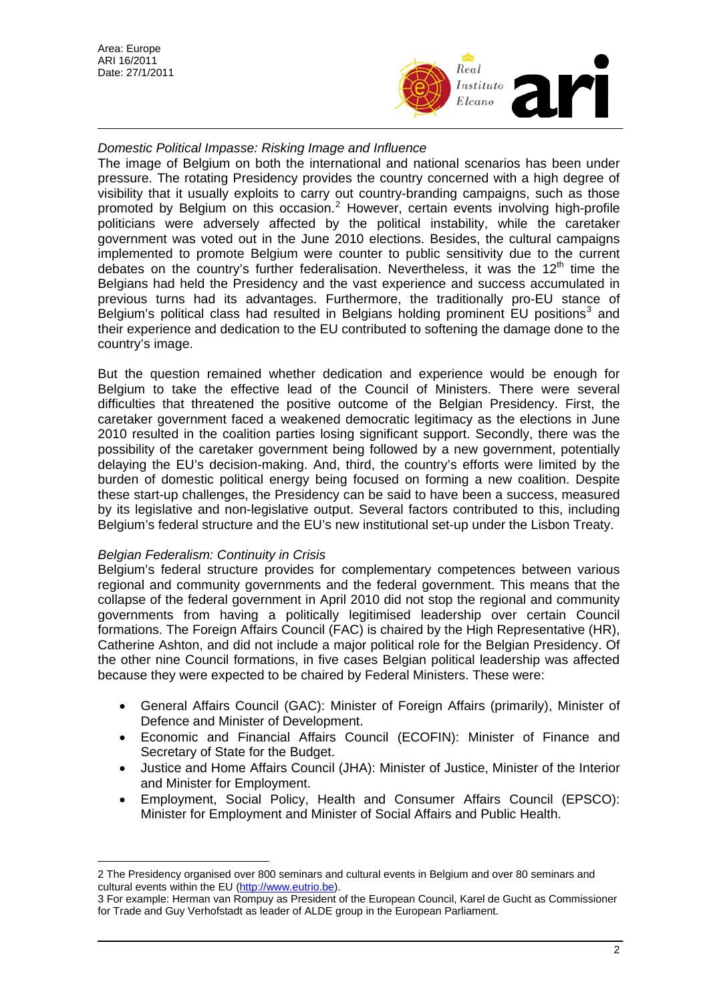

## *Domestic Political Impasse: Risking Image and Influence*

The image of Belgium on both the international and national scenarios has been under pressure. The rotating Presidency provides the country concerned with a high degree of visibility that it usually exploits to carry out country-branding campaigns, such as those promoted by Belgium on this occasion.<sup>[2](#page-1-0)</sup> However, certain events involving high-profile politicians were adversely affected by the political instability, while the caretaker government was voted out in the June 2010 elections. Besides, the cultural campaigns implemented to promote Belgium were counter to public sensitivity due to the current debates on the country's further federalisation. Nevertheless, it was the  $12<sup>th</sup>$  time the Belgians had held the Presidency and the vast experience and success accumulated in previous turns had its advantages. Furthermore, the traditionally pro-EU stance of Belgium's political class had resulted in Belgians holding prominent EU positions<sup>[3](#page-1-1)</sup> and their experience and dedication to the EU contributed to softening the damage done to the country's image.

But the question remained whether dedication and experience would be enough for Belgium to take the effective lead of the Council of Ministers. There were several difficulties that threatened the positive outcome of the Belgian Presidency. First, the caretaker government faced a weakened democratic legitimacy as the elections in June 2010 resulted in the coalition parties losing significant support. Secondly, there was the possibility of the caretaker government being followed by a new government, potentially delaying the EU's decision-making. And, third, the country's efforts were limited by the burden of domestic political energy being focused on forming a new coalition. Despite these start-up challenges, the Presidency can be said to have been a success, measured by its legislative and non-legislative output. Several factors contributed to this, including Belgium's federal structure and the EU's new institutional set-up under the Lisbon Treaty.

### *Belgian Federalism: Continuity in Crisis*

Belgium's federal structure provides for complementary competences between various regional and community governments and the federal government. This means that the collapse of the federal government in April 2010 did not stop the regional and community governments from having a politically legitimised leadership over certain Council formations. The Foreign Affairs Council (FAC) is chaired by the High Representative (HR), Catherine Ashton, and did not include a major political role for the Belgian Presidency. Of the other nine Council formations, in five cases Belgian political leadership was affected because they were expected to be chaired by Federal Ministers. These were:

- General Affairs Council (GAC): Minister of Foreign Affairs (primarily), Minister of Defence and Minister of Development.
- Economic and Financial Affairs Council (ECOFIN): Minister of Finance and Secretary of State for the Budget.
- Justice and Home Affairs Council (JHA): Minister of Justice, Minister of the Interior and Minister for Employment.
- Employment, Social Policy, Health and Consumer Affairs Council (EPSCO): Minister for Employment and Minister of Social Affairs and Public Health.

<span id="page-1-0"></span> $\overline{a}$ 2 The Presidency organised over 800 seminars and cultural events in Belgium and over 80 seminars and cultural events within the EU [\(http://www.eutrio.be\)](http://www.eutrio.be/).

<span id="page-1-1"></span><sup>3</sup> For example: Herman van Rompuy as President of the European Council, Karel de Gucht as Commissioner for Trade and Guy Verhofstadt as leader of ALDE group in the European Parliament.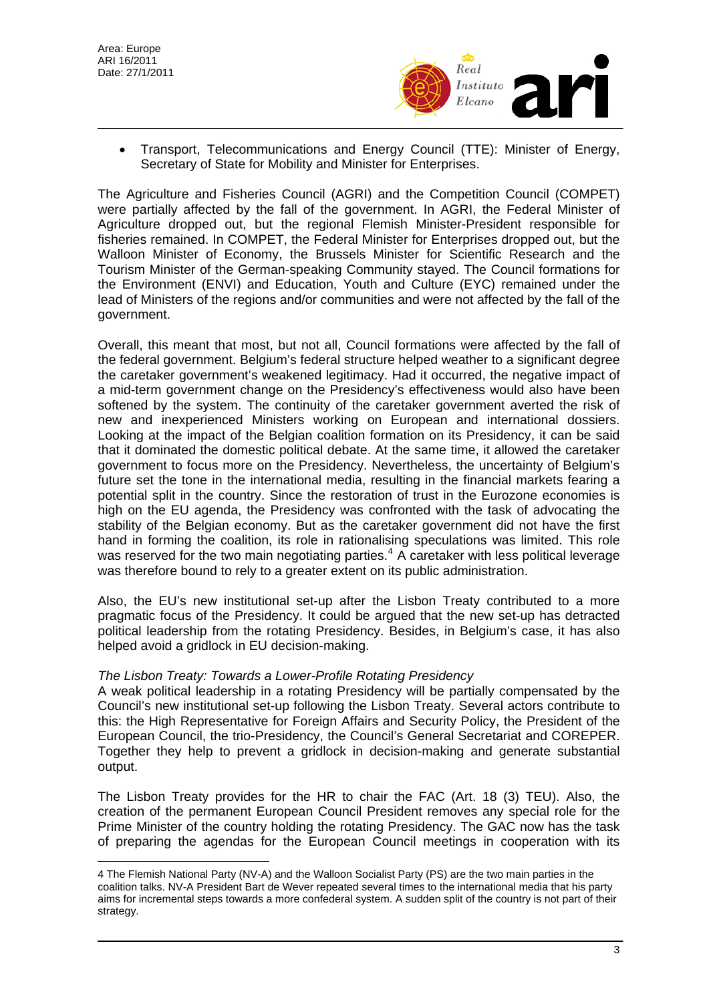

• Transport, Telecommunications and Energy Council (TTE): Minister of Energy, Secretary of State for Mobility and Minister for Enterprises.

The Agriculture and Fisheries Council (AGRI) and the Competition Council (COMPET) were partially affected by the fall of the government. In AGRI, the Federal Minister of Agriculture dropped out, but the regional Flemish Minister-President responsible for fisheries remained. In COMPET, the Federal Minister for Enterprises dropped out, but the Walloon Minister of Economy, the Brussels Minister for Scientific Research and the Tourism Minister of the German-speaking Community stayed. The Council formations for the Environment (ENVI) and Education, Youth and Culture (EYC) remained under the lead of Ministers of the regions and/or communities and were not affected by the fall of the government.

Overall, this meant that most, but not all, Council formations were affected by the fall of the federal government. Belgium's federal structure helped weather to a significant degree the caretaker government's weakened legitimacy. Had it occurred, the negative impact of a mid-term government change on the Presidency's effectiveness would also have been softened by the system. The continuity of the caretaker government averted the risk of new and inexperienced Ministers working on European and international dossiers. Looking at the impact of the Belgian coalition formation on its Presidency, it can be said that it dominated the domestic political debate. At the same time, it allowed the caretaker government to focus more on the Presidency. Nevertheless, the uncertainty of Belgium's future set the tone in the international media, resulting in the financial markets fearing a potential split in the country. Since the restoration of trust in the Eurozone economies is high on the EU agenda, the Presidency was confronted with the task of advocating the stability of the Belgian economy. But as the caretaker government did not have the first hand in forming the coalition, its role in rationalising speculations was limited. This role was reserved for the two main negotiating parties.<sup>[4](#page-2-0)</sup> A caretaker with less political leverage was therefore bound to rely to a greater extent on its public administration.

Also, the EU's new institutional set-up after the Lisbon Treaty contributed to a more pragmatic focus of the Presidency. It could be argued that the new set-up has detracted political leadership from the rotating Presidency. Besides, in Belgium's case, it has also helped avoid a gridlock in EU decision-making.

### *The Lisbon Treaty: Towards a Lower-Profile Rotating Presidency*

A weak political leadership in a rotating Presidency will be partially compensated by the Council's new institutional set-up following the Lisbon Treaty. Several actors contribute to this: the High Representative for Foreign Affairs and Security Policy, the President of the European Council, the trio-Presidency, the Council's General Secretariat and COREPER. Together they help to prevent a gridlock in decision-making and generate substantial output.

The Lisbon Treaty provides for the HR to chair the FAC (Art. 18 (3) TEU). Also, the creation of the permanent European Council President removes any special role for the Prime Minister of the country holding the rotating Presidency. The GAC now has the task of preparing the agendas for the European Council meetings in cooperation with its

<span id="page-2-0"></span> $\overline{a}$ 4 The Flemish National Party (NV-A) and the Walloon Socialist Party (PS) are the two main parties in the coalition talks. NV-A President Bart de Wever repeated several times to the international media that his party aims for incremental steps towards a more confederal system. A sudden split of the country is not part of their strategy.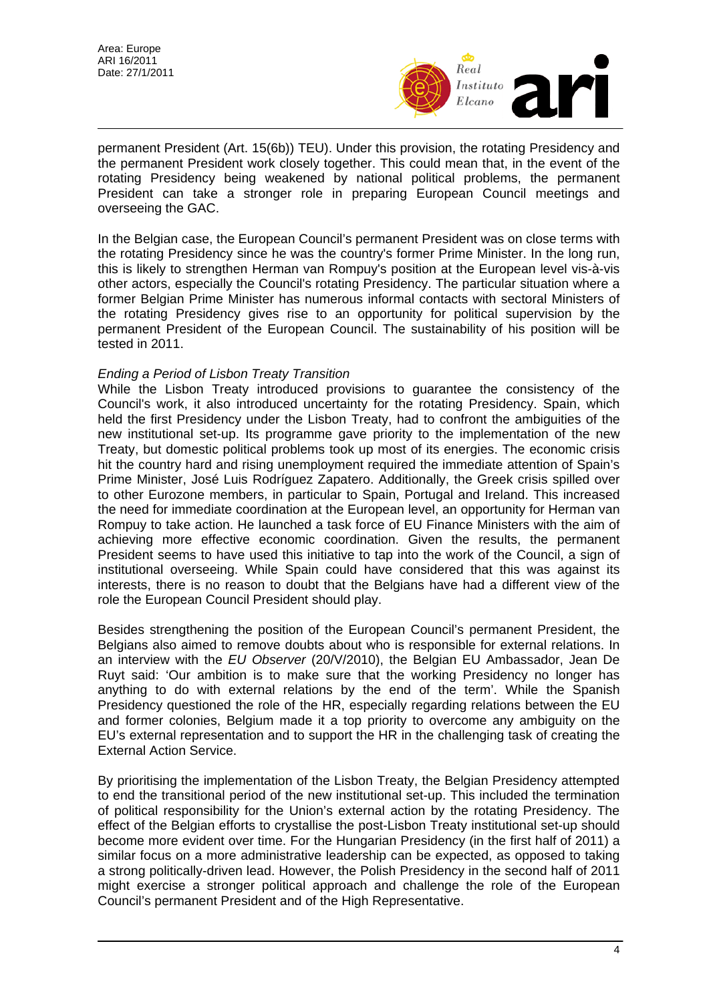Area: Europe ARI 16/2011 Date: 27/1/2011



permanent President (Art. 15(6b)) TEU). Under this provision, the rotating Presidency and the permanent President work closely together. This could mean that, in the event of the rotating Presidency being weakened by national political problems, the permanent President can take a stronger role in preparing European Council meetings and overseeing the GAC.

In the Belgian case, the European Council's permanent President was on close terms with the rotating Presidency since he was the country's former Prime Minister. In the long run, this is likely to strengthen Herman van Rompuy's position at the European level vis-à-vis other actors, especially the Council's rotating Presidency. The particular situation where a former Belgian Prime Minister has numerous informal contacts with sectoral Ministers of the rotating Presidency gives rise to an opportunity for political supervision by the permanent President of the European Council. The sustainability of his position will be tested in 2011.

### *Ending a Period of Lisbon Treaty Transition*

While the Lisbon Treaty introduced provisions to guarantee the consistency of the Council's work, it also introduced uncertainty for the rotating Presidency. Spain, which held the first Presidency under the Lisbon Treaty, had to confront the ambiguities of the new institutional set-up. Its programme gave priority to the implementation of the new Treaty, but domestic political problems took up most of its energies. The economic crisis hit the country hard and rising unemployment required the immediate attention of Spain's Prime Minister, José Luis Rodríguez Zapatero. Additionally, the Greek crisis spilled over to other Eurozone members, in particular to Spain, Portugal and Ireland. This increased the need for immediate coordination at the European level, an opportunity for Herman van Rompuy to take action. He launched a task force of EU Finance Ministers with the aim of achieving more effective economic coordination. Given the results, the permanent President seems to have used this initiative to tap into the work of the Council, a sign of institutional overseeing. While Spain could have considered that this was against its interests, there is no reason to doubt that the Belgians have had a different view of the role the European Council President should play.

Besides strengthening the position of the European Council's permanent President, the Belgians also aimed to remove doubts about who is responsible for external relations. In an interview with the *EU Observer* (20/V/2010), the Belgian EU Ambassador, Jean De Ruyt said: 'Our ambition is to make sure that the working Presidency no longer has anything to do with external relations by the end of the term'. While the Spanish Presidency questioned the role of the HR, especially regarding relations between the EU and former colonies, Belgium made it a top priority to overcome any ambiguity on the EU's external representation and to support the HR in the challenging task of creating the External Action Service.

By prioritising the implementation of the Lisbon Treaty, the Belgian Presidency attempted to end the transitional period of the new institutional set-up. This included the termination of political responsibility for the Union's external action by the rotating Presidency. The effect of the Belgian efforts to crystallise the post-Lisbon Treaty institutional set-up should become more evident over time. For the Hungarian Presidency (in the first half of 2011) a similar focus on a more administrative leadership can be expected, as opposed to taking a strong politically-driven lead. However, the Polish Presidency in the second half of 2011 might exercise a stronger political approach and challenge the role of the European Council's permanent President and of the High Representative.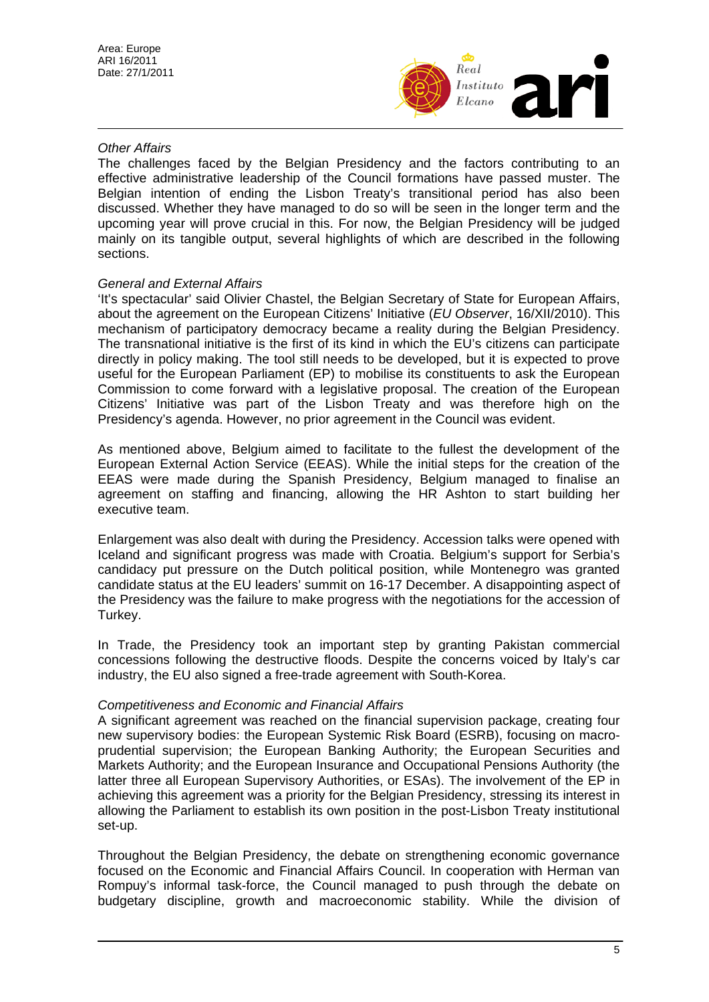

### *Other Affairs*

The challenges faced by the Belgian Presidency and the factors contributing to an effective administrative leadership of the Council formations have passed muster. The Belgian intention of ending the Lisbon Treaty's transitional period has also been discussed. Whether they have managed to do so will be seen in the longer term and the upcoming year will prove crucial in this. For now, the Belgian Presidency will be judged mainly on its tangible output, several highlights of which are described in the following sections.

# *General and External Affairs*

'It's spectacular' said Olivier Chastel, the Belgian Secretary of State for European Affairs, about the agreement on the European Citizens' Initiative (*EU Observer*, 16/XII/2010). This mechanism of participatory democracy became a reality during the Belgian Presidency. The transnational initiative is the first of its kind in which the EU's citizens can participate directly in policy making. The tool still needs to be developed, but it is expected to prove useful for the European Parliament (EP) to mobilise its constituents to ask the European Commission to come forward with a legislative proposal. The creation of the European Citizens' Initiative was part of the Lisbon Treaty and was therefore high on the Presidency's agenda. However, no prior agreement in the Council was evident.

As mentioned above, Belgium aimed to facilitate to the fullest the development of the European External Action Service (EEAS). While the initial steps for the creation of the EEAS were made during the Spanish Presidency, Belgium managed to finalise an agreement on staffing and financing, allowing the HR Ashton to start building her executive team.

Enlargement was also dealt with during the Presidency. Accession talks were opened with Iceland and significant progress was made with Croatia. Belgium's support for Serbia's candidacy put pressure on the Dutch political position, while Montenegro was granted candidate status at the EU leaders' summit on 16-17 December. A disappointing aspect of the Presidency was the failure to make progress with the negotiations for the accession of Turkey.

In Trade, the Presidency took an important step by granting Pakistan commercial concessions following the destructive floods. Despite the concerns voiced by Italy's car industry, the EU also signed a free-trade agreement with South-Korea.

### *Competitiveness and Economic and Financial Affairs*

A significant agreement was reached on the financial supervision package, creating four new supervisory bodies: the European Systemic Risk Board (ESRB), focusing on macroprudential supervision; the European Banking Authority; the European Securities and Markets Authority; and the European Insurance and Occupational Pensions Authority (the latter three all European Supervisory Authorities, or ESAs). The involvement of the EP in achieving this agreement was a priority for the Belgian Presidency, stressing its interest in allowing the Parliament to establish its own position in the post-Lisbon Treaty institutional set-up.

Throughout the Belgian Presidency, the debate on strengthening economic governance focused on the Economic and Financial Affairs Council. In cooperation with Herman van Rompuy's informal task-force, the Council managed to push through the debate on budgetary discipline, growth and macroeconomic stability. While the division of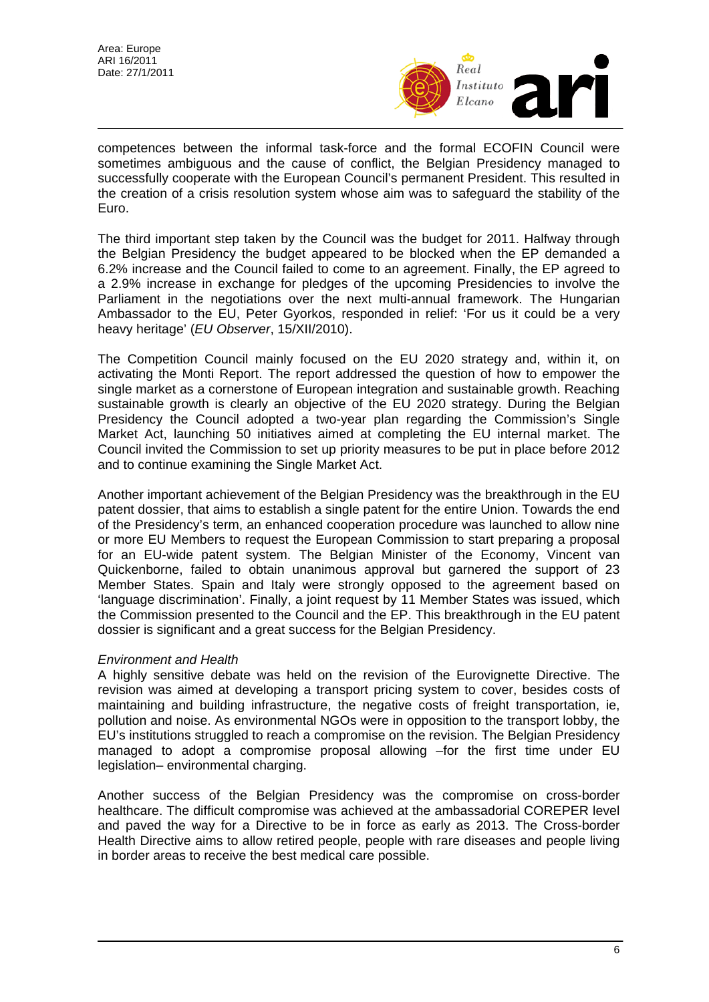

competences between the informal task-force and the formal ECOFIN Council were sometimes ambiguous and the cause of conflict, the Belgian Presidency managed to successfully cooperate with the European Council's permanent President. This resulted in the creation of a crisis resolution system whose aim was to safeguard the stability of the Euro.

The third important step taken by the Council was the budget for 2011. Halfway through the Belgian Presidency the budget appeared to be blocked when the EP demanded a 6.2% increase and the Council failed to come to an agreement. Finally, the EP agreed to a 2.9% increase in exchange for pledges of the upcoming Presidencies to involve the Parliament in the negotiations over the next multi-annual framework. The Hungarian Ambassador to the EU, Peter Gyorkos, responded in relief: 'For us it could be a very heavy heritage' (*EU Observer*, 15/XII/2010).

The Competition Council mainly focused on the EU 2020 strategy and, within it, on activating the Monti Report. The report addressed the question of how to empower the single market as a cornerstone of European integration and sustainable growth. Reaching sustainable growth is clearly an objective of the EU 2020 strategy. During the Belgian Presidency the Council adopted a two-year plan regarding the Commission's Single Market Act, launching 50 initiatives aimed at completing the EU internal market. The Council invited the Commission to set up priority measures to be put in place before 2012 and to continue examining the Single Market Act.

Another important achievement of the Belgian Presidency was the breakthrough in the EU patent dossier, that aims to establish a single patent for the entire Union. Towards the end of the Presidency's term, an enhanced cooperation procedure was launched to allow nine or more EU Members to request the European Commission to start preparing a proposal for an EU-wide patent system. The Belgian Minister of the Economy, Vincent van Quickenborne, failed to obtain unanimous approval but garnered the support of 23 Member States. Spain and Italy were strongly opposed to the agreement based on 'language discrimination'. Finally, a joint request by 11 Member States was issued, which the Commission presented to the Council and the EP. This breakthrough in the EU patent dossier is significant and a great success for the Belgian Presidency.

### *Environment and Health*

A highly sensitive debate was held on the revision of the Eurovignette Directive. The revision was aimed at developing a transport pricing system to cover, besides costs of maintaining and building infrastructure, the negative costs of freight transportation, ie, pollution and noise. As environmental NGOs were in opposition to the transport lobby, the EU's institutions struggled to reach a compromise on the revision. The Belgian Presidency managed to adopt a compromise proposal allowing –for the first time under EU legislation– environmental charging.

Another success of the Belgian Presidency was the compromise on cross-border healthcare. The difficult compromise was achieved at the ambassadorial COREPER level and paved the way for a Directive to be in force as early as 2013. The Cross-border Health Directive aims to allow retired people, people with rare diseases and people living in border areas to receive the best medical care possible.